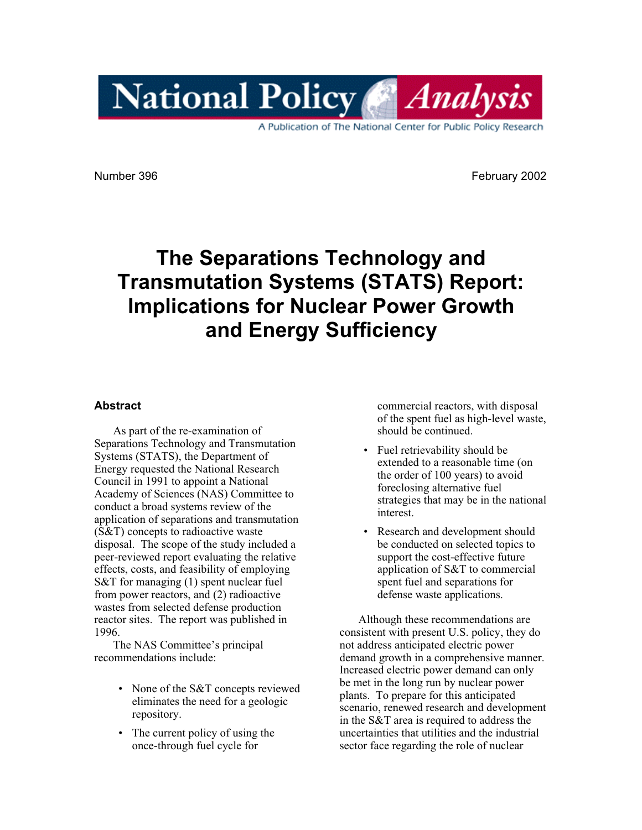

A Publication of The National Center for Public Policy Research

Number 396 February 2002

# **The Separations Technology and Transmutation Systems (STATS) Report: Implications for Nuclear Power Growth and Energy Sufficiency**

# **Abstract**

As part of the re-examination of Separations Technology and Transmutation Systems (STATS), the Department of Energy requested the National Research Council in 1991 to appoint a National Academy of Sciences (NAS) Committee to conduct a broad systems review of the application of separations and transmutation (S&T) concepts to radioactive waste disposal. The scope of the study included a peer-reviewed report evaluating the relative effects, costs, and feasibility of employing S&T for managing (1) spent nuclear fuel from power reactors, and (2) radioactive wastes from selected defense production reactor sites. The report was published in 1996.

The NAS Committee's principal recommendations include:

- None of the S&T concepts reviewed eliminates the need for a geologic repository.
- The current policy of using the once-through fuel cycle for

commercial reactors, with disposal of the spent fuel as high-level waste, should be continued.

- Fuel retrievability should be extended to a reasonable time (on the order of 100 years) to avoid foreclosing alternative fuel strategies that may be in the national interest.
- Research and development should be conducted on selected topics to support the cost-effective future application of S&T to commercial spent fuel and separations for defense waste applications.

Although these recommendations are consistent with present U.S. policy, they do not address anticipated electric power demand growth in a comprehensive manner. Increased electric power demand can only be met in the long run by nuclear power plants. To prepare for this anticipated scenario, renewed research and development in the S&T area is required to address the uncertainties that utilities and the industrial sector face regarding the role of nuclear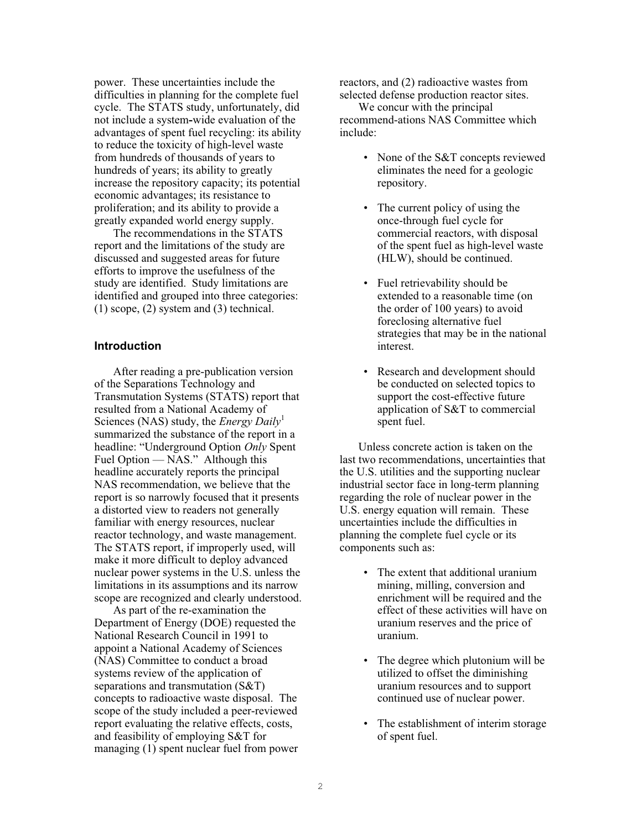power. These uncertainties include the difficulties in planning for the complete fuel cycle. The STATS study, unfortunately, did not include a system**-**wide evaluation of the advantages of spent fuel recycling: its ability to reduce the toxicity of high-level waste from hundreds of thousands of years to hundreds of years; its ability to greatly increase the repository capacity; its potential economic advantages; its resistance to proliferation; and its ability to provide a greatly expanded world energy supply.

The recommendations in the STATS report and the limitations of the study are discussed and suggested areas for future efforts to improve the usefulness of the study are identified. Study limitations are identified and grouped into three categories: (1) scope, (2) system and (3) technical.

## **Introduction**

After reading a pre-publication version of the Separations Technology and Transmutation Systems (STATS) report that resulted from a National Academy of Sciences (NAS) study, the *Energy Daily*<sup>1</sup> summarized the substance of the report in a headline: "Underground Option *Only* Spent Fuel Option — NAS." Although this headline accurately reports the principal NAS recommendation, we believe that the report is so narrowly focused that it presents a distorted view to readers not generally familiar with energy resources, nuclear reactor technology, and waste management. The STATS report, if improperly used, will make it more difficult to deploy advanced nuclear power systems in the U.S. unless the limitations in its assumptions and its narrow scope are recognized and clearly understood.

As part of the re-examination the Department of Energy (DOE) requested the National Research Council in 1991 to appoint a National Academy of Sciences (NAS) Committee to conduct a broad systems review of the application of separations and transmutation (S&T) concepts to radioactive waste disposal. The scope of the study included a peer-reviewed report evaluating the relative effects, costs, and feasibility of employing S&T for managing (1) spent nuclear fuel from power reactors, and (2) radioactive wastes from selected defense production reactor sites.

We concur with the principal recommend-ations NAS Committee which include:

- None of the S&T concepts reviewed eliminates the need for a geologic repository.
- The current policy of using the once-through fuel cycle for commercial reactors, with disposal of the spent fuel as high-level waste (HLW), should be continued.
- Fuel retrievability should be extended to a reasonable time (on the order of 100 years) to avoid foreclosing alternative fuel strategies that may be in the national interest.
- Research and development should be conducted on selected topics to support the cost-effective future application of S&T to commercial spent fuel.

Unless concrete action is taken on the last two recommendations, uncertainties that the U.S. utilities and the supporting nuclear industrial sector face in long-term planning regarding the role of nuclear power in the U.S. energy equation will remain. These uncertainties include the difficulties in planning the complete fuel cycle or its components such as:

- The extent that additional uranium mining, milling, conversion and enrichment will be required and the effect of these activities will have on uranium reserves and the price of uranium.
- The degree which plutonium will be utilized to offset the diminishing uranium resources and to support continued use of nuclear power.
- The establishment of interim storage of spent fuel.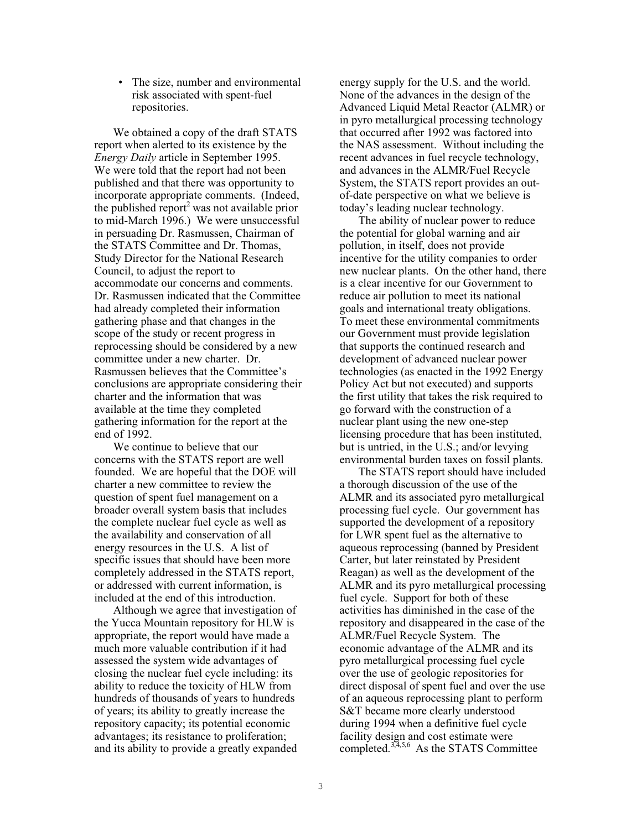• The size, number and environmental risk associated with spent-fuel repositories.

We obtained a copy of the draft STATS report when alerted to its existence by the *Energy Daily* article in September 1995. We were told that the report had not been published and that there was opportunity to incorporate appropriate comments. (Indeed, the published report<sup>2</sup> was not available prior to mid-March 1996.) We were unsuccessful in persuading Dr. Rasmussen, Chairman of the STATS Committee and Dr. Thomas, Study Director for the National Research Council, to adjust the report to accommodate our concerns and comments. Dr. Rasmussen indicated that the Committee had already completed their information gathering phase and that changes in the scope of the study or recent progress in reprocessing should be considered by a new committee under a new charter. Dr. Rasmussen believes that the Committee's conclusions are appropriate considering their charter and the information that was available at the time they completed gathering information for the report at the end of 1992.

We continue to believe that our concerns with the STATS report are well founded. We are hopeful that the DOE will charter a new committee to review the question of spent fuel management on a broader overall system basis that includes the complete nuclear fuel cycle as well as the availability and conservation of all energy resources in the U.S. A list of specific issues that should have been more completely addressed in the STATS report, or addressed with current information, is included at the end of this introduction.

Although we agree that investigation of the Yucca Mountain repository for HLW is appropriate, the report would have made a much more valuable contribution if it had assessed the system wide advantages of closing the nuclear fuel cycle including: its ability to reduce the toxicity of HLW from hundreds of thousands of years to hundreds of years; its ability to greatly increase the repository capacity; its potential economic advantages; its resistance to proliferation; and its ability to provide a greatly expanded energy supply for the U.S. and the world. None of the advances in the design of the Advanced Liquid Metal Reactor (ALMR) or in pyro metallurgical processing technology that occurred after 1992 was factored into the NAS assessment. Without including the recent advances in fuel recycle technology, and advances in the ALMR/Fuel Recycle System, the STATS report provides an outof-date perspective on what we believe is today's leading nuclear technology.

The ability of nuclear power to reduce the potential for global warning and air pollution, in itself, does not provide incentive for the utility companies to order new nuclear plants. On the other hand, there is a clear incentive for our Government to reduce air pollution to meet its national goals and international treaty obligations. To meet these environmental commitments our Government must provide legislation that supports the continued research and development of advanced nuclear power technologies (as enacted in the 1992 Energy Policy Act but not executed) and supports the first utility that takes the risk required to go forward with the construction of a nuclear plant using the new one-step licensing procedure that has been instituted, but is untried, in the U.S.; and/or levying environmental burden taxes on fossil plants.

The STATS report should have included a thorough discussion of the use of the ALMR and its associated pyro metallurgical processing fuel cycle. Our government has supported the development of a repository for LWR spent fuel as the alternative to aqueous reprocessing (banned by President Carter, but later reinstated by President Reagan) as well as the development of the ALMR and its pyro metallurgical processing fuel cycle. Support for both of these activities has diminished in the case of the repository and disappeared in the case of the ALMR/Fuel Recycle System. The economic advantage of the ALMR and its pyro metallurgical processing fuel cycle over the use of geologic repositories for direct disposal of spent fuel and over the use of an aqueous reprocessing plant to perform S&T became more clearly understood during 1994 when a definitive fuel cycle facility design and cost estimate were completed.<sup>3,4,5,6</sup> As the STATS Committee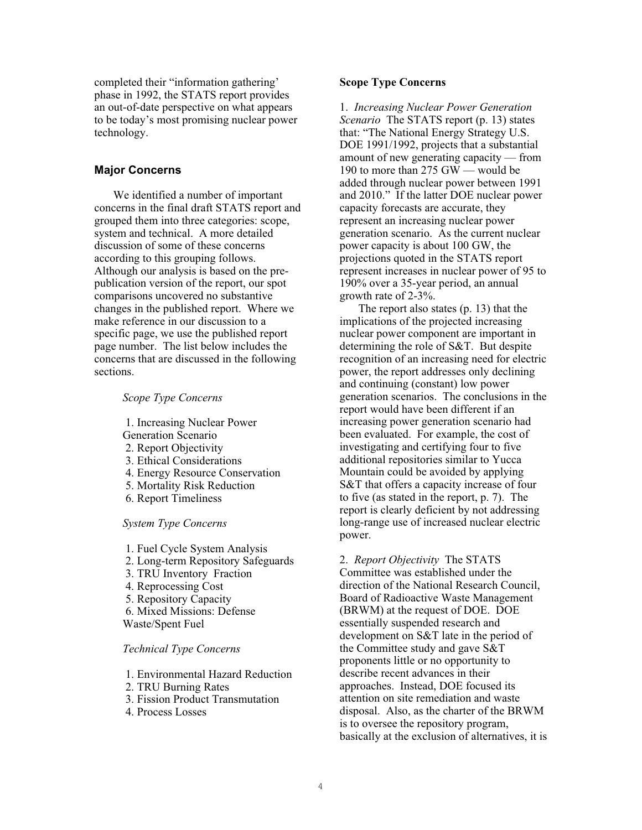completed their "information gathering' phase in 1992, the STATS report provides an out-of-date perspective on what appears to be today's most promising nuclear power technology.

## **Major Concerns**

We identified a number of important concerns in the final draft STATS report and grouped them into three categories: scope, system and technical. A more detailed discussion of some of these concerns according to this grouping follows. Although our analysis is based on the prepublication version of the report, our spot comparisons uncovered no substantive changes in the published report. Where we make reference in our discussion to a specific page, we use the published report page number. The list below includes the concerns that are discussed in the following sections.

#### *Scope Type Concerns*

- 1. Increasing Nuclear Power Generation Scenario 2. Report Objectivity
- 3. Ethical Considerations
- 
- 4. Energy Resource Conservation
- 5. Mortality Risk Reduction
- 6. Report Timeliness

# *System Type Concerns*

 1. Fuel Cycle System Analysis 2. Long-term Repository Safeguards 3. TRU Inventory Fraction 4. Reprocessing Cost 5. Repository Capacity 6. Mixed Missions: Defense Waste/Spent Fuel

#### *Technical Type Concerns*

- 1. Environmental Hazard Reduction
- 2. TRU Burning Rates
- 3. Fission Product Transmutation
- 4. Process Losses

#### **Scope Type Concerns**

1. *Increasing Nuclear Power Generation Scenario* The STATS report (p. 13) states that: "The National Energy Strategy U.S. DOE 1991/1992, projects that a substantial amount of new generating capacity — from 190 to more than 275 GW — would be added through nuclear power between 1991 and 2010." If the latter DOE nuclear power capacity forecasts are accurate, they represent an increasing nuclear power generation scenario. As the current nuclear power capacity is about 100 GW, the projections quoted in the STATS report represent increases in nuclear power of 95 to 190% over a 35-year period, an annual growth rate of 2-3%.

The report also states (p. 13) that the implications of the projected increasing nuclear power component are important in determining the role of S&T. But despite recognition of an increasing need for electric power, the report addresses only declining and continuing (constant) low power generation scenarios. The conclusions in the report would have been different if an increasing power generation scenario had been evaluated. For example, the cost of investigating and certifying four to five additional repositories similar to Yucca Mountain could be avoided by applying S&T that offers a capacity increase of four to five (as stated in the report, p. 7). The report is clearly deficient by not addressing long-range use of increased nuclear electric power.

2. *Report Objectivity* The STATS

Committee was established under the direction of the National Research Council, Board of Radioactive Waste Management (BRWM) at the request of DOE. DOE essentially suspended research and development on S&T late in the period of the Committee study and gave S&T proponents little or no opportunity to describe recent advances in their approaches. Instead, DOE focused its attention on site remediation and waste disposal. Also, as the charter of the BRWM is to oversee the repository program, basically at the exclusion of alternatives, it is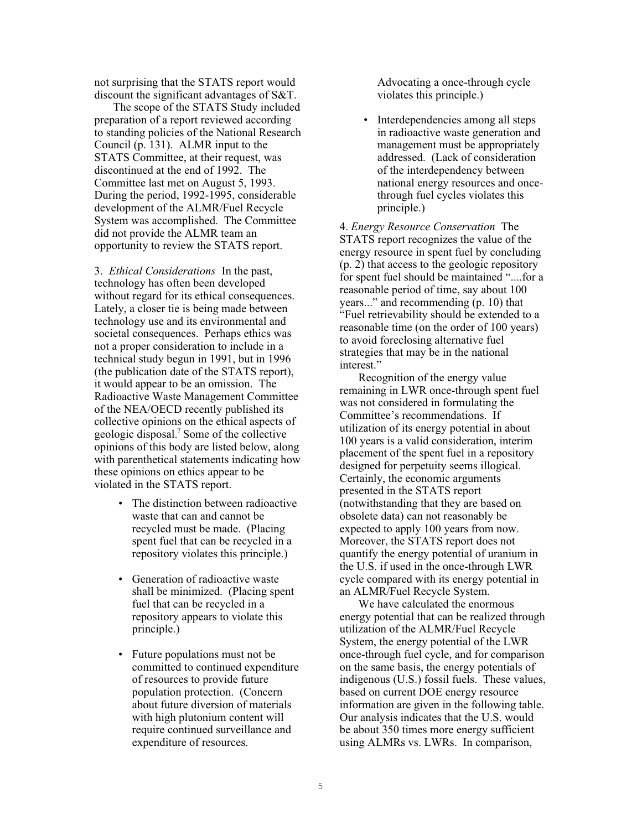not surprising that the STATS report would discount the significant advantages of S&T.

The scope of the STATS Study included preparation of a report reviewed according to standing policies of the National Research Council (p. 131). ALMR input to the STATS Committee, at their request, was discontinued at the end of 1992. The Committee last met on August 5, 1993. During the period, 1992-1995, considerable development of the ALMR/Fuel Recycle System was accomplished. The Committee did not provide the ALMR team an opportunity to review the STATS report.

3. *Ethical Considerations* In the past, technology has often been developed without regard for its ethical consequences. Lately, a closer tie is being made between technology use and its environmental and societal consequences. Perhaps ethics was not a proper consideration to include in a technical study begun in 1991, but in 1996 (the publication date of the STATS report), it would appear to be an omission. The Radioactive Waste Management Committee of the NEA/OECD recently published its collective opinions on the ethical aspects of geologic disposal.<sup>7</sup> Some of the collective opinions of this body are listed below, along with parenthetical statements indicating how these opinions on ethics appear to be violated in the STATS report.

- The distinction between radioactive waste that can and cannot be recycled must be made. (Placing spent fuel that can be recycled in a repository violates this principle.)
- Generation of radioactive waste shall be minimized. (Placing spent fuel that can be recycled in a repository appears to violate this principle.)
- Future populations must not be committed to continued expenditure of resources to provide future population protection. (Concern about future diversion of materials with high plutonium content will require continued surveillance and expenditure of resources.

Advocating a once-through cycle violates this principle.)

• Interdependencies among all steps in radioactive waste generation and management must be appropriately addressed. (Lack of consideration of the interdependency between national energy resources and oncethrough fuel cycles violates this principle.)

4. *Energy Resource Conservation* The STATS report recognizes the value of the energy resource in spent fuel by concluding (p. 2) that access to the geologic repository for spent fuel should be maintained "....for a reasonable period of time, say about 100 years..." and recommending (p. 10) that "Fuel retrievability should be extended to a reasonable time (on the order of 100 years) to avoid foreclosing alternative fuel strategies that may be in the national interest."

Recognition of the energy value remaining in LWR once-through spent fuel was not considered in formulating the Committee's recommendations. If utilization of its energy potential in about 100 years is a valid consideration, interim placement of the spent fuel in a repository designed for perpetuity seems illogical. Certainly, the economic arguments presented in the STATS report (notwithstanding that they are based on obsolete data) can not reasonably be expected to apply 100 years from now. Moreover, the STATS report does not quantify the energy potential of uranium in the U.S. if used in the once-through LWR cycle compared with its energy potential in an ALMR/Fuel Recycle System.

We have calculated the enormous energy potential that can be realized through utilization of the ALMR/Fuel Recycle System, the energy potential of the LWR once-through fuel cycle, and for comparison on the same basis, the energy potentials of indigenous (U.S.) fossil fuels. These values, based on current DOE energy resource information are given in the following table. Our analysis indicates that the U.S. would be about 350 times more energy sufficient using ALMRs vs. LWRs. In comparison,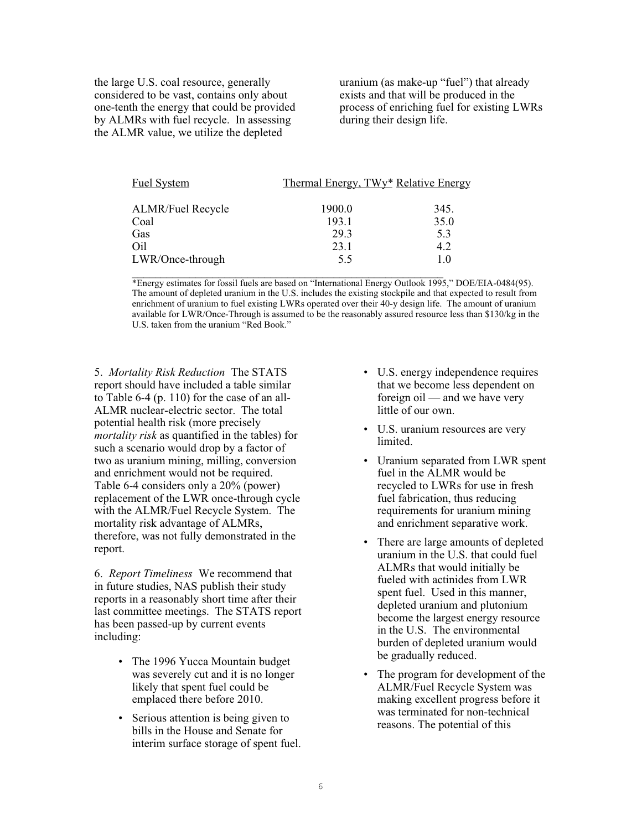the large U.S. coal resource, generally considered to be vast, contains only about one-tenth the energy that could be provided by ALMRs with fuel recycle. In assessing the ALMR value, we utilize the depleted

uranium (as make-up "fuel") that already exists and that will be produced in the process of enriching fuel for existing LWRs during their design life.

| <b>Fuel System</b>       | Thermal Energy, TWy <sup>*</sup> Relative Energy |      |
|--------------------------|--------------------------------------------------|------|
| <b>ALMR/Fuel Recycle</b> | 1900.0                                           | 345. |
| Coal                     | 193.1                                            | 35.0 |
| Gas                      | 29.3                                             | 5.3  |
| O <sub>il</sub>          | 23.1                                             | 4.2  |
| LWR/Once-through         | 5.5                                              | 1.0  |
|                          |                                                  |      |

\*Energy estimates for fossil fuels are based on "International Energy Outlook 1995," DOE/EIA-0484(95). The amount of depleted uranium in the U.S. includes the existing stockpile and that expected to result from enrichment of uranium to fuel existing LWRs operated over their 40-y design life. The amount of uranium available for LWR/Once-Through is assumed to be the reasonably assured resource less than \$130/kg in the U.S. taken from the uranium "Red Book."

5. *Mortality Risk Reduction* The STATS report should have included a table similar to Table 6-4 (p. 110) for the case of an all-ALMR nuclear-electric sector. The total potential health risk (more precisely *mortality risk* as quantified in the tables) for such a scenario would drop by a factor of two as uranium mining, milling, conversion and enrichment would not be required. Table 6-4 considers only a 20% (power) replacement of the LWR once-through cycle with the ALMR/Fuel Recycle System. The mortality risk advantage of ALMRs, therefore, was not fully demonstrated in the report.

6. *Report Timeliness* We recommend that in future studies, NAS publish their study reports in a reasonably short time after their last committee meetings. The STATS report has been passed-up by current events including:

- The 1996 Yucca Mountain budget was severely cut and it is no longer likely that spent fuel could be emplaced there before 2010.
- Serious attention is being given to bills in the House and Senate for interim surface storage of spent fuel.
- U.S. energy independence requires that we become less dependent on foreign oil — and we have very little of our own.
- U.S. uranium resources are very limited.
- Uranium separated from LWR spent fuel in the ALMR would be recycled to LWRs for use in fresh fuel fabrication, thus reducing requirements for uranium mining and enrichment separative work.
- There are large amounts of depleted uranium in the U.S. that could fuel ALMRs that would initially be fueled with actinides from LWR spent fuel. Used in this manner, depleted uranium and plutonium become the largest energy resource in the U.S. The environmental burden of depleted uranium would be gradually reduced.
- The program for development of the ALMR/Fuel Recycle System was making excellent progress before it was terminated for non-technical reasons. The potential of this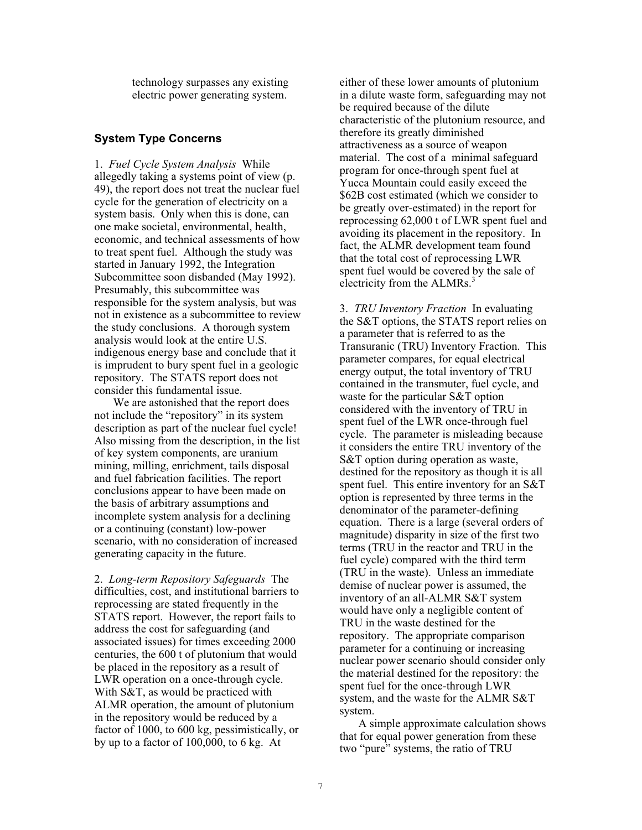technology surpasses any existing electric power generating system.

# **System Type Concerns**

1. *Fuel Cycle System Analysis* While allegedly taking a systems point of view (p. 49), the report does not treat the nuclear fuel cycle for the generation of electricity on a system basis. Only when this is done, can one make societal, environmental, health, economic, and technical assessments of how to treat spent fuel. Although the study was started in January 1992, the Integration Subcommittee soon disbanded (May 1992). Presumably, this subcommittee was responsible for the system analysis, but was not in existence as a subcommittee to review the study conclusions. A thorough system analysis would look at the entire U.S. indigenous energy base and conclude that it is imprudent to bury spent fuel in a geologic repository. The STATS report does not consider this fundamental issue.

We are astonished that the report does not include the "repository" in its system description as part of the nuclear fuel cycle! Also missing from the description, in the list of key system components, are uranium mining, milling, enrichment, tails disposal and fuel fabrication facilities. The report conclusions appear to have been made on the basis of arbitrary assumptions and incomplete system analysis for a declining or a continuing (constant) low-power scenario, with no consideration of increased generating capacity in the future.

2. *Long-term Repository Safeguards* The difficulties, cost, and institutional barriers to reprocessing are stated frequently in the STATS report. However, the report fails to address the cost for safeguarding (and associated issues) for times exceeding 2000 centuries, the 600 t of plutonium that would be placed in the repository as a result of LWR operation on a once-through cycle. With S&T, as would be practiced with ALMR operation, the amount of plutonium in the repository would be reduced by a factor of 1000, to 600 kg, pessimistically, or by up to a factor of 100,000, to 6 kg. At

either of these lower amounts of plutonium in a dilute waste form, safeguarding may not be required because of the dilute characteristic of the plutonium resource, and therefore its greatly diminished attractiveness as a source of weapon material. The cost of a minimal safeguard program for once-through spent fuel at Yucca Mountain could easily exceed the \$62B cost estimated (which we consider to be greatly over-estimated) in the report for reprocessing 62,000 t of LWR spent fuel and avoiding its placement in the repository. In fact, the ALMR development team found that the total cost of reprocessing LWR spent fuel would be covered by the sale of electricity from the ALMRs.<sup>3</sup>

3. *TRU Inventory Fraction* In evaluating the S&T options, the STATS report relies on a parameter that is referred to as the Transuranic (TRU) Inventory Fraction. This parameter compares, for equal electrical energy output, the total inventory of TRU contained in the transmuter, fuel cycle, and waste for the particular S&T option considered with the inventory of TRU in spent fuel of the LWR once-through fuel cycle. The parameter is misleading because it considers the entire TRU inventory of the S&T option during operation as waste, destined for the repository as though it is all spent fuel. This entire inventory for an S&T option is represented by three terms in the denominator of the parameter-defining equation. There is a large (several orders of magnitude) disparity in size of the first two terms (TRU in the reactor and TRU in the fuel cycle) compared with the third term (TRU in the waste). Unless an immediate demise of nuclear power is assumed, the inventory of an all-ALMR S&T system would have only a negligible content of TRU in the waste destined for the repository. The appropriate comparison parameter for a continuing or increasing nuclear power scenario should consider only the material destined for the repository: the spent fuel for the once-through LWR system, and the waste for the ALMR S&T system.

A simple approximate calculation shows that for equal power generation from these two "pure" systems, the ratio of TRU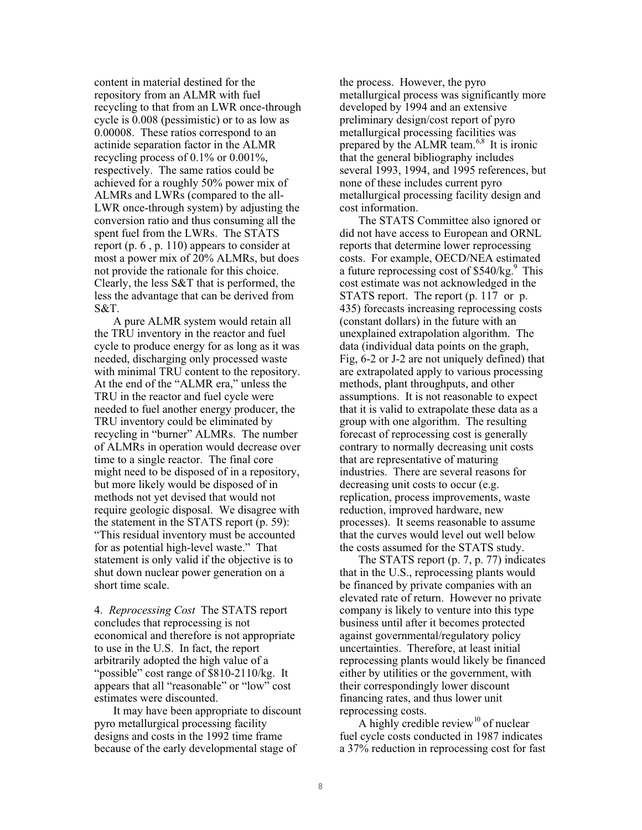content in material destined for the repository from an ALMR with fuel recycling to that from an LWR once-through cycle is 0.008 (pessimistic) or to as low as 0.00008. These ratios correspond to an actinide separation factor in the ALMR recycling process of 0.1% or 0.001%, respectively. The same ratios could be achieved for a roughly 50% power mix of ALMRs and LWRs (compared to the all-LWR once-through system) by adjusting the conversion ratio and thus consuming all the spent fuel from the LWRs. The STATS report (p. 6 , p. 110) appears to consider at most a power mix of 20% ALMRs, but does not provide the rationale for this choice. Clearly, the less S&T that is performed, the less the advantage that can be derived from S&T.

A pure ALMR system would retain all the TRU inventory in the reactor and fuel cycle to produce energy for as long as it was needed, discharging only processed waste with minimal TRU content to the repository. At the end of the "ALMR era," unless the TRU in the reactor and fuel cycle were needed to fuel another energy producer, the TRU inventory could be eliminated by recycling in "burner" ALMRs. The number of ALMRs in operation would decrease over time to a single reactor. The final core might need to be disposed of in a repository, but more likely would be disposed of in methods not yet devised that would not require geologic disposal. We disagree with the statement in the STATS report (p. 59): "This residual inventory must be accounted for as potential high-level waste." That statement is only valid if the objective is to shut down nuclear power generation on a short time scale.

4. *Reprocessing Cost* The STATS report concludes that reprocessing is not economical and therefore is not appropriate to use in the U.S. In fact, the report arbitrarily adopted the high value of a "possible" cost range of \$810-2110/kg. It appears that all "reasonable" or "low" cost estimates were discounted.

It may have been appropriate to discount pyro metallurgical processing facility designs and costs in the 1992 time frame because of the early developmental stage of

the process. However, the pyro metallurgical process was significantly more developed by 1994 and an extensive preliminary design/cost report of pyro metallurgical processing facilities was prepared by the ALMR team. $6,8$  It is ironic that the general bibliography includes several 1993, 1994, and 1995 references, but none of these includes current pyro metallurgical processing facility design and cost information.

The STATS Committee also ignored or did not have access to European and ORNL reports that determine lower reprocessing costs. For example, OECD/NEA estimated a future reprocessing cost of  $$540/kg$ .<sup>9</sup> This cost estimate was not acknowledged in the STATS report. The report (p. 117 or p. 435) forecasts increasing reprocessing costs (constant dollars) in the future with an unexplained extrapolation algorithm. The data (individual data points on the graph, Fig, 6-2 or J-2 are not uniquely defined) that are extrapolated apply to various processing methods, plant throughputs, and other assumptions. It is not reasonable to expect that it is valid to extrapolate these data as a group with one algorithm. The resulting forecast of reprocessing cost is generally contrary to normally decreasing unit costs that are representative of maturing industries. There are several reasons for decreasing unit costs to occur (e.g. replication, process improvements, waste reduction, improved hardware, new processes). It seems reasonable to assume that the curves would level out well below the costs assumed for the STATS study.

The STATS report (p. 7, p. 77) indicates that in the U.S., reprocessing plants would be financed by private companies with an elevated rate of return. However no private company is likely to venture into this type business until after it becomes protected against governmental/regulatory policy uncertainties. Therefore, at least initial reprocessing plants would likely be financed either by utilities or the government, with their correspondingly lower discount financing rates, and thus lower unit reprocessing costs.

A highly credible review<sup>10</sup> of nuclear fuel cycle costs conducted in 1987 indicates a 37% reduction in reprocessing cost for fast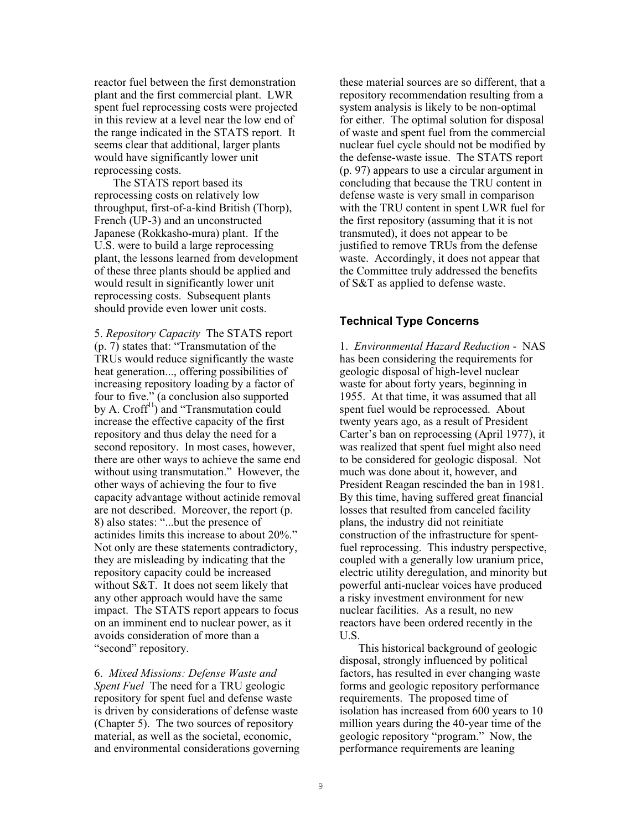reactor fuel between the first demonstration plant and the first commercial plant. LWR spent fuel reprocessing costs were projected in this review at a level near the low end of the range indicated in the STATS report. It seems clear that additional, larger plants would have significantly lower unit reprocessing costs.

The STATS report based its reprocessing costs on relatively low throughput, first-of-a-kind British (Thorp), French (UP-3) and an unconstructed Japanese (Rokkasho-mura) plant. If the U.S. were to build a large reprocessing plant, the lessons learned from development of these three plants should be applied and would result in significantly lower unit reprocessing costs. Subsequent plants should provide even lower unit costs.

5. *Repository Capacity* The STATS report  $(p, 7)$  states that: "Transmutation of the TRUs would reduce significantly the waste heat generation..., offering possibilities of increasing repository loading by a factor of four to five." (a conclusion also supported by A.  $Cref<sup>11</sup>$  and "Transmutation could increase the effective capacity of the first repository and thus delay the need for a second repository. In most cases, however, there are other ways to achieve the same end without using transmutation." However, the other ways of achieving the four to five capacity advantage without actinide removal are not described. Moreover, the report (p. 8) also states: "...but the presence of actinides limits this increase to about 20%." Not only are these statements contradictory, they are misleading by indicating that the repository capacity could be increased without S&T. It does not seem likely that any other approach would have the same impact. The STATS report appears to focus on an imminent end to nuclear power, as it avoids consideration of more than a "second" repository.

6. *Mixed Missions: Defense Waste and Spent Fuel* The need for a TRU geologic repository for spent fuel and defense waste is driven by considerations of defense waste (Chapter 5). The two sources of repository material, as well as the societal, economic, and environmental considerations governing

these material sources are so different, that a repository recommendation resulting from a system analysis is likely to be non-optimal for either. The optimal solution for disposal of waste and spent fuel from the commercial nuclear fuel cycle should not be modified by the defense-waste issue. The STATS report (p. 97) appears to use a circular argument in concluding that because the TRU content in defense waste is very small in comparison with the TRU content in spent LWR fuel for the first repository (assuming that it is not transmuted), it does not appear to be justified to remove TRUs from the defense waste. Accordingly, it does not appear that the Committee truly addressed the benefits of S&T as applied to defense waste.

## **Technical Type Concerns**

1. *Environmental Hazard Reduction* - NAS has been considering the requirements for geologic disposal of high-level nuclear waste for about forty years, beginning in 1955. At that time, it was assumed that all spent fuel would be reprocessed. About twenty years ago, as a result of President Carter's ban on reprocessing (April 1977), it was realized that spent fuel might also need to be considered for geologic disposal. Not much was done about it, however, and President Reagan rescinded the ban in 1981. By this time, having suffered great financial losses that resulted from canceled facility plans, the industry did not reinitiate construction of the infrastructure for spentfuel reprocessing. This industry perspective, coupled with a generally low uranium price, electric utility deregulation, and minority but powerful anti-nuclear voices have produced a risky investment environment for new nuclear facilities. As a result, no new reactors have been ordered recently in the U.S.

This historical background of geologic disposal, strongly influenced by political factors, has resulted in ever changing waste forms and geologic repository performance requirements. The proposed time of isolation has increased from 600 years to 10 million years during the 40-year time of the geologic repository "program." Now, the performance requirements are leaning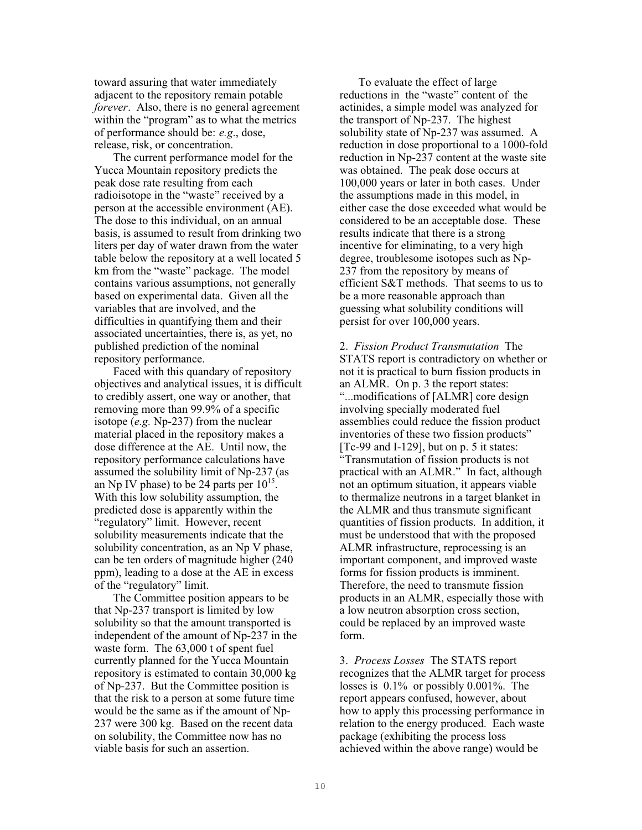toward assuring that water immediately adjacent to the repository remain potable *forever.* Also, there is no general agreement within the "program" as to what the metrics of performance should be: *e.g*., dose, release, risk, or concentration.

The current performance model for the Yucca Mountain repository predicts the peak dose rate resulting from each radioisotope in the "waste" received by a person at the accessible environment (AE). The dose to this individual, on an annual basis, is assumed to result from drinking two liters per day of water drawn from the water table below the repository at a well located 5 km from the "waste" package. The model contains various assumptions, not generally based on experimental data. Given all the variables that are involved, and the difficulties in quantifying them and their associated uncertainties, there is, as yet, no published prediction of the nominal repository performance.

Faced with this quandary of repository objectives and analytical issues, it is difficult to credibly assert, one way or another, that removing more than 99.9% of a specific isotope (*e.g.* Np-237) from the nuclear material placed in the repository makes a dose difference at the AE. Until now, the repository performance calculations have assumed the solubility limit of Np-237 (as an Np IV phase) to be 24 parts per  $10^{15}$ . With this low solubility assumption, the predicted dose is apparently within the "regulatory" limit. However, recent solubility measurements indicate that the solubility concentration, as an Np V phase, can be ten orders of magnitude higher (240 ppm), leading to a dose at the AE in excess of the "regulatory" limit.

The Committee position appears to be that Np-237 transport is limited by low solubility so that the amount transported is independent of the amount of Np-237 in the waste form. The 63,000 t of spent fuel currently planned for the Yucca Mountain repository is estimated to contain 30,000 kg of Np-237. But the Committee position is that the risk to a person at some future time would be the same as if the amount of Np-237 were 300 kg. Based on the recent data on solubility, the Committee now has no viable basis for such an assertion.

To evaluate the effect of large reductions in the "waste" content of the actinides, a simple model was analyzed for the transport of Np-237. The highest solubility state of Np-237 was assumed. A reduction in dose proportional to a 1000-fold reduction in Np-237 content at the waste site was obtained. The peak dose occurs at 100,000 years or later in both cases. Under the assumptions made in this model, in either case the dose exceeded what would be considered to be an acceptable dose. These results indicate that there is a strong incentive for eliminating, to a very high degree, troublesome isotopes such as Np-237 from the repository by means of efficient S&T methods. That seems to us to be a more reasonable approach than guessing what solubility conditions will persist for over 100,000 years.

2. *Fission Product Transmutation* The STATS report is contradictory on whether or not it is practical to burn fission products in an ALMR. On p. 3 the report states: "...modifications of [ALMR] core design involving specially moderated fuel assemblies could reduce the fission product inventories of these two fission products" [Tc-99 and I-129], but on p. 5 it states: "Transmutation of fission products is not practical with an ALMR." In fact, although not an optimum situation, it appears viable to thermalize neutrons in a target blanket in the ALMR and thus transmute significant quantities of fission products. In addition, it must be understood that with the proposed ALMR infrastructure, reprocessing is an important component, and improved waste forms for fission products is imminent. Therefore, the need to transmute fission products in an ALMR, especially those with a low neutron absorption cross section, could be replaced by an improved waste form.

3. *Process Losses* The STATS report recognizes that the ALMR target for process losses is 0.1% or possibly 0.001%. The report appears confused, however, about how to apply this processing performance in relation to the energy produced. Each waste package (exhibiting the process loss achieved within the above range) would be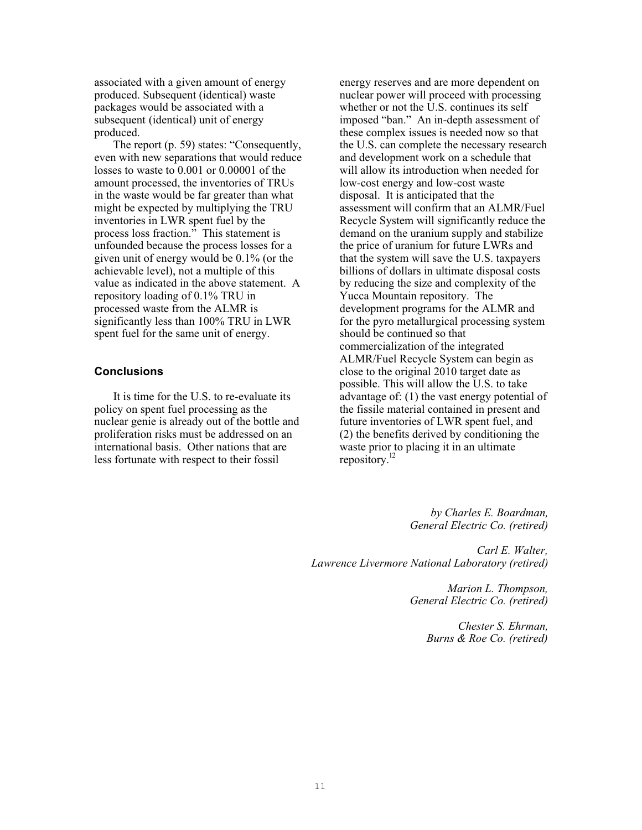associated with a given amount of energy produced. Subsequent (identical) waste packages would be associated with a subsequent (identical) unit of energy produced.

The report (p. 59) states: "Consequently, even with new separations that would reduce losses to waste to 0.001 or 0.00001 of the amount processed, the inventories of TRUs in the waste would be far greater than what might be expected by multiplying the TRU inventories in LWR spent fuel by the process loss fraction." This statement is unfounded because the process losses for a given unit of energy would be 0.1% (or the achievable level), not a multiple of this value as indicated in the above statement. A repository loading of 0.1% TRU in processed waste from the ALMR is significantly less than 100% TRU in LWR spent fuel for the same unit of energy.

### **Conclusions**

It is time for the U.S. to re-evaluate its policy on spent fuel processing as the nuclear genie is already out of the bottle and proliferation risks must be addressed on an international basis. Other nations that are less fortunate with respect to their fossil

energy reserves and are more dependent on nuclear power will proceed with processing whether or not the  $\overline{U}$ . S. continues its self imposed "ban." An in-depth assessment of these complex issues is needed now so that the U.S. can complete the necessary research and development work on a schedule that will allow its introduction when needed for low-cost energy and low-cost waste disposal. It is anticipated that the assessment will confirm that an ALMR/Fuel Recycle System will significantly reduce the demand on the uranium supply and stabilize the price of uranium for future LWRs and that the system will save the U.S. taxpayers billions of dollars in ultimate disposal costs by reducing the size and complexity of the Yucca Mountain repository. The development programs for the ALMR and for the pyro metallurgical processing system should be continued so that commercialization of the integrated ALMR/Fuel Recycle System can begin as close to the original 2010 target date as possible. This will allow the U.S. to take advantage of: (1) the vast energy potential of the fissile material contained in present and future inventories of LWR spent fuel, and (2) the benefits derived by conditioning the waste prior to placing it in an ultimate repository.12

> *by Charles E. Boardman, General Electric Co. (retired)*

*Carl E. Walter, Lawrence Livermore National Laboratory (retired)*

> *Marion L. Thompson, General Electric Co. (retired)*

> > *Chester S. Ehrman, Burns & Roe Co. (retired)*